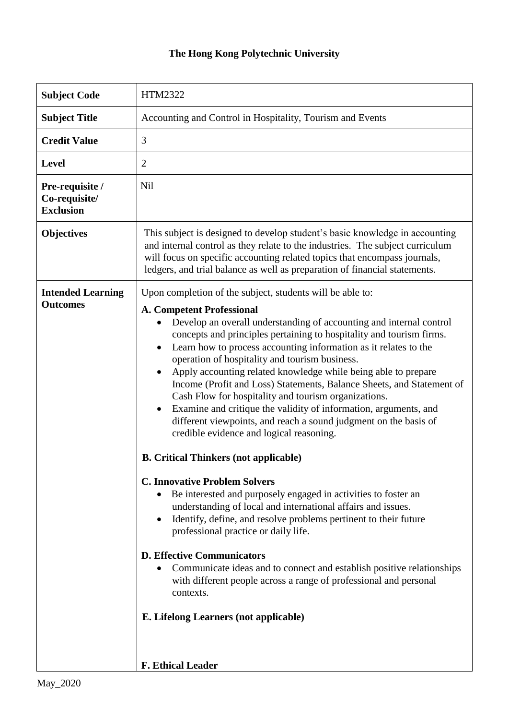## **The Hong Kong Polytechnic University**

| <b>Subject Code</b>                                  | HTM2322                                                                                                                                                                                                                                                                                                                                                                                                                                                                                                                                                                                                                                                                                                                                                                                                                                                                                                                                                                                                                                                                                                                                                                                                                                                                                                                                                                                              |
|------------------------------------------------------|------------------------------------------------------------------------------------------------------------------------------------------------------------------------------------------------------------------------------------------------------------------------------------------------------------------------------------------------------------------------------------------------------------------------------------------------------------------------------------------------------------------------------------------------------------------------------------------------------------------------------------------------------------------------------------------------------------------------------------------------------------------------------------------------------------------------------------------------------------------------------------------------------------------------------------------------------------------------------------------------------------------------------------------------------------------------------------------------------------------------------------------------------------------------------------------------------------------------------------------------------------------------------------------------------------------------------------------------------------------------------------------------------|
| <b>Subject Title</b>                                 | Accounting and Control in Hospitality, Tourism and Events                                                                                                                                                                                                                                                                                                                                                                                                                                                                                                                                                                                                                                                                                                                                                                                                                                                                                                                                                                                                                                                                                                                                                                                                                                                                                                                                            |
| <b>Credit Value</b>                                  | 3                                                                                                                                                                                                                                                                                                                                                                                                                                                                                                                                                                                                                                                                                                                                                                                                                                                                                                                                                                                                                                                                                                                                                                                                                                                                                                                                                                                                    |
| Level                                                | $\overline{2}$                                                                                                                                                                                                                                                                                                                                                                                                                                                                                                                                                                                                                                                                                                                                                                                                                                                                                                                                                                                                                                                                                                                                                                                                                                                                                                                                                                                       |
| Pre-requisite /<br>Co-requisite/<br><b>Exclusion</b> | Nil                                                                                                                                                                                                                                                                                                                                                                                                                                                                                                                                                                                                                                                                                                                                                                                                                                                                                                                                                                                                                                                                                                                                                                                                                                                                                                                                                                                                  |
| <b>Objectives</b>                                    | This subject is designed to develop student's basic knowledge in accounting<br>and internal control as they relate to the industries. The subject curriculum<br>will focus on specific accounting related topics that encompass journals,<br>ledgers, and trial balance as well as preparation of financial statements.                                                                                                                                                                                                                                                                                                                                                                                                                                                                                                                                                                                                                                                                                                                                                                                                                                                                                                                                                                                                                                                                              |
| <b>Intended Learning</b><br><b>Outcomes</b>          | Upon completion of the subject, students will be able to:<br><b>A. Competent Professional</b><br>Develop an overall understanding of accounting and internal control<br>concepts and principles pertaining to hospitality and tourism firms.<br>Learn how to process accounting information as it relates to the<br>$\bullet$<br>operation of hospitality and tourism business.<br>Apply accounting related knowledge while being able to prepare<br>Income (Profit and Loss) Statements, Balance Sheets, and Statement of<br>Cash Flow for hospitality and tourism organizations.<br>Examine and critique the validity of information, arguments, and<br>$\bullet$<br>different viewpoints, and reach a sound judgment on the basis of<br>credible evidence and logical reasoning.<br><b>B.</b> Critical Thinkers (not applicable)<br><b>C. Innovative Problem Solvers</b><br>Be interested and purposely engaged in activities to foster an<br>understanding of local and international affairs and issues.<br>Identify, define, and resolve problems pertinent to their future<br>$\bullet$<br>professional practice or daily life.<br><b>D. Effective Communicators</b><br>Communicate ideas and to connect and establish positive relationships<br>with different people across a range of professional and personal<br>contexts.<br>E. Lifelong Learners (not applicable)<br>F. Ethical Leader |